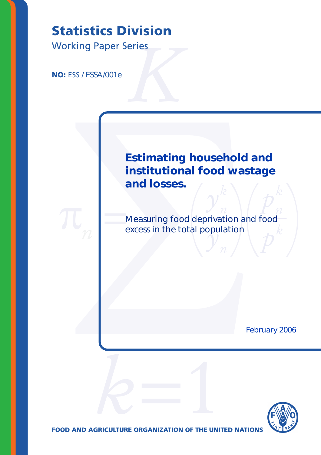# **Statistics Division**<br>
Working Paper Series<br> **NO:** ESS / ESSA/001e

Working Paper Series

**NO: ESS / ESSA/001e** 

# **atistics Division**<br>ESS/ESSA/001e<br>
ESS/ESSA/001e<br> **Estimating household a**<br> **institutional food wast<br>
and losses.**<br>
Measuring food deprivation and<br>
excess in the total population<br>
m  $\nu^k$  $\boldsymbol{b}^{\boldsymbol{k}}$ Estimating household and institutional food wastage and losses.

 $\pi$  =  $\sum_{n=1}^{\infty}$ Measuring food deprivation and food excess in the total population

February 2006



**FOOD AND AGRICULTURE ORGANIZATION OF THE UNITED NATIONS** 

-

*-*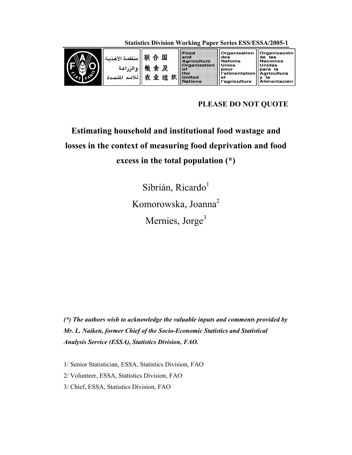Organisation Organización<br>de las<br>Naciones Food 联合国 and<br>Agriculture منظمة الأغذسة des ues<br>Nations Organization **Unies** Unidas 粮食及 والزراعة pour<br>l'alimentation of para la para<br>Tagricultura<br>Talimentación the 农业组织 للأمم المتحدة **United**<br>Nations et l'agriculture

**Statistics Division Working Paper Series ESS/ESSA/2005-1** 

# **PLEASE DO NOT QUOTE**

# **Estimating household and institutional food wastage and losses in the context of measuring food deprivation and food excess in the total population (\*)**

Sibrián, Ricardo<sup>1</sup> Komorowska, Joanna<sup>2</sup> Mernies, Jorge<sup>3</sup>

*(\*) The authors wish to acknowledge the valuable inputs and comments provided by Mr. L. Naiken, former Chief of the Socio-Economic Statistics and Statistical Analysis Service (ESSA), Statistics Division, FAO.* 

1/ Senior Statistician, ESSA, Statistics Division, FAO 2/ Volunteer, ESSA, Statistics Division, FAO 3/ Chief, ESSA, Statistics Division, FAO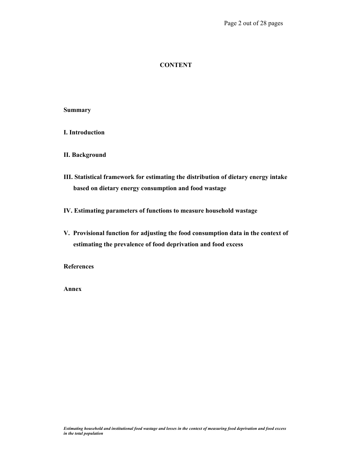#### **CONTENT**

#### **Summary**

**I. Introduction** 

#### **II. Background**

**III. Statistical framework for estimating the distribution of dietary energy intake based on dietary energy consumption and food wastage** 

**IV. Estimating parameters of functions to measure household wastage** 

**V. Provisional function for adjusting the food consumption data in the context of estimating the prevalence of food deprivation and food excess** 

**References** 

**Annex**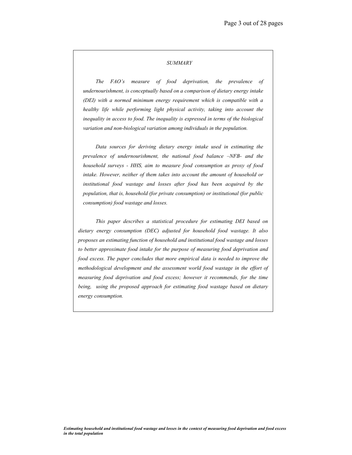#### *SUMMARY*

*The FAO's measure of food deprivation, the prevalence of undernourishment, is conceptually based on a comparison of dietary energy intake (DEI) with a normed minimum energy requirement which is compatible with a healthy life while performing light physical activity, taking into account the inequality in access to food. The inequality is expressed in terms of the biological variation and non-biological variation among individuals in the population.* 

*Data sources for deriving dietary energy intake used in estimating the prevalence of undernourishment, the national food balance –NFB- and the household surveys - HHS, aim to measure food consumption as proxy of food intake. However, neither of them takes into account the amount of household or institutional food wastage and losses after food has been acquired by the population, that is, household (for private consumption) or institutional (for public consumption) food wastage and losses.* 

*This paper describes a statistical procedure for estimating DEI based on dietary energy consumption (DEC) adjusted for household food wastage. It also proposes an estimating function of household and institutional food wastage and losses to better approximate food intake for the purpose of measuring food deprivation and food excess. The paper concludes that more empirical data is needed to improve the methodological development and the assessment world food wastage in the effort of measuring food deprivation and food excess; however it recommends, for the time being, using the proposed approach for estimating food wastage based on dietary energy consumption.*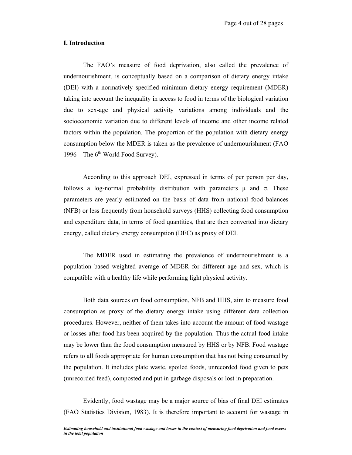#### **I. Introduction**

The FAO's measure of food deprivation, also called the prevalence of undernourishment, is conceptually based on a comparison of dietary energy intake (DEI) with a normatively specified minimum dietary energy requirement (MDER) taking into account the inequality in access to food in terms of the biological variation due to sex-age and physical activity variations among individuals and the socioeconomic variation due to different levels of income and other income related factors within the population. The proportion of the population with dietary energy consumption below the MDER is taken as the prevalence of undernourishment (FAO 1996 – The  $6<sup>th</sup>$  World Food Survey).

According to this approach DEI, expressed in terms of per person per day, follows a log-normal probability distribution with parameters  $\mu$  and  $\sigma$ . These parameters are yearly estimated on the basis of data from national food balances (NFB) or less frequently from household surveys (HHS) collecting food consumption and expenditure data, in terms of food quantities, that are then converted into dietary energy, called dietary energy consumption (DEC) as proxy of DEI.

The MDER used in estimating the prevalence of undernourishment is a population based weighted average of MDER for different age and sex, which is compatible with a healthy life while performing light physical activity.

Both data sources on food consumption, NFB and HHS, aim to measure food consumption as proxy of the dietary energy intake using different data collection procedures. However, neither of them takes into account the amount of food wastage or losses after food has been acquired by the population. Thus the actual food intake may be lower than the food consumption measured by HHS or by NFB. Food wastage refers to all foods appropriate for human consumption that has not being consumed by the population. It includes plate waste, spoiled foods, unrecorded food given to pets (unrecorded feed), composted and put in garbage disposals or lost in preparation.

Evidently, food wastage may be a major source of bias of final DEI estimates (FAO Statistics Division, 1983). It is therefore important to account for wastage in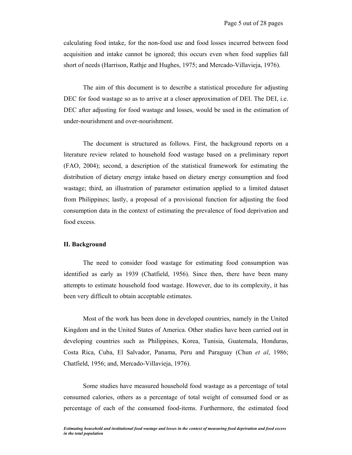calculating food intake, for the non-food use and food losses incurred between food acquisition and intake cannot be ignored; this occurs even when food supplies fall short of needs (Harrison, Rathje and Hughes, 1975; and Mercado-Villavieja, 1976).

The aim of this document is to describe a statistical procedure for adjusting DEC for food wastage so as to arrive at a closer approximation of DEI. The DEI, i.e. DEC after adjusting for food wastage and losses, would be used in the estimation of under-nourishment and over-nourishment.

The document is structured as follows. First, the background reports on a literature review related to household food wastage based on a preliminary report (FAO, 2004); second, a description of the statistical framework for estimating the distribution of dietary energy intake based on dietary energy consumption and food wastage; third, an illustration of parameter estimation applied to a limited dataset from Philippines; lastly, a proposal of a provisional function for adjusting the food consumption data in the context of estimating the prevalence of food deprivation and food excess.

#### **II. Background**

The need to consider food wastage for estimating food consumption was identified as early as 1939 (Chatfield, 1956). Since then, there have been many attempts to estimate household food wastage. However, due to its complexity, it has been very difficult to obtain acceptable estimates.

Most of the work has been done in developed countries, namely in the United Kingdom and in the United States of America. Other studies have been carried out in developing countries such as Philippines, Korea, Tunisia, Guatemala, Honduras, Costa Rica, Cuba, El Salvador, Panama, Peru and Paraguay (Chun *et al*, 1986; Chatfield, 1956; and, Mercado-Villavieja, 1976).

Some studies have measured household food wastage as a percentage of total consumed calories, others as a percentage of total weight of consumed food or as percentage of each of the consumed food-items. Furthermore, the estimated food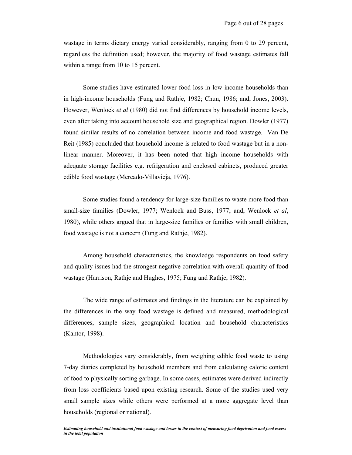wastage in terms dietary energy varied considerably, ranging from 0 to 29 percent, regardless the definition used; however, the majority of food wastage estimates fall within a range from 10 to 15 percent.

Some studies have estimated lower food loss in low-income households than in high-income households (Fung and Rathje, 1982; Chun, 1986; and, Jones, 2003). However, Wenlock *et al* (1980) did not find differences by household income levels, even after taking into account household size and geographical region. Dowler (1977) found similar results of no correlation between income and food wastage. Van De Reit (1985) concluded that household income is related to food wastage but in a nonlinear manner. Moreover, it has been noted that high income households with adequate storage facilities e.g. refrigeration and enclosed cabinets, produced greater edible food wastage (Mercado-Villavieja, 1976).

Some studies found a tendency for large-size families to waste more food than small-size families (Dowler, 1977; Wenlock and Buss, 1977; and, Wenlock *et al*, 1980), while others argued that in large-size families or families with small children, food wastage is not a concern (Fung and Rathje, 1982).

Among household characteristics, the knowledge respondents on food safety and quality issues had the strongest negative correlation with overall quantity of food wastage (Harrison, Rathje and Hughes, 1975; Fung and Rathje, 1982).

The wide range of estimates and findings in the literature can be explained by the differences in the way food wastage is defined and measured, methodological differences, sample sizes, geographical location and household characteristics (Kantor, 1998).

Methodologies vary considerably, from weighing edible food waste to using 7-day diaries completed by household members and from calculating caloric content of food to physically sorting garbage. In some cases, estimates were derived indirectly from loss coefficients based upon existing research. Some of the studies used very small sample sizes while others were performed at a more aggregate level than households (regional or national).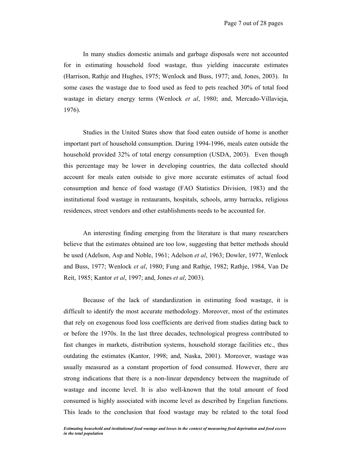In many studies domestic animals and garbage disposals were not accounted for in estimating household food wastage, thus yielding inaccurate estimates (Harrison, Rathje and Hughes, 1975; Wenlock and Buss, 1977; and, Jones, 2003). In some cases the wastage due to food used as feed to pets reached 30% of total food wastage in dietary energy terms (Wenlock *et al*, 1980; and, Mercado-Villavieja, 1976).

Studies in the United States show that food eaten outside of home is another important part of household consumption. During 1994-1996, meals eaten outside the household provided 32% of total energy consumption (USDA, 2003). Even though this percentage may be lower in developing countries, the data collected should account for meals eaten outside to give more accurate estimates of actual food consumption and hence of food wastage (FAO Statistics Division, 1983) and the institutional food wastage in restaurants, hospitals, schools, army barracks, religious residences, street vendors and other establishments needs to be accounted for.

An interesting finding emerging from the literature is that many researchers believe that the estimates obtained are too low, suggesting that better methods should be used (Adelson, Asp and Noble, 1961; Adelson *et al*, 1963; Dowler, 1977, Wenlock and Buss, 1977; Wenlock *et al*, 1980; Fung and Rathje, 1982; Rathje, 1984, Van De Reit, 1985; Kantor *et al*, 1997; and, Jones *et al*, 2003).

Because of the lack of standardization in estimating food wastage, it is difficult to identify the most accurate methodology. Moreover, most of the estimates that rely on exogenous food loss coefficients are derived from studies dating back to or before the 1970s. In the last three decades, technological progress contributed to fast changes in markets, distribution systems, household storage facilities etc., thus outdating the estimates (Kantor, 1998; and, Naska, 2001). Moreover, wastage was usually measured as a constant proportion of food consumed. However, there are strong indications that there is a non-linear dependency between the magnitude of wastage and income level. It is also well-known that the total amount of food consumed is highly associated with income level as described by Engelian functions. This leads to the conclusion that food wastage may be related to the total food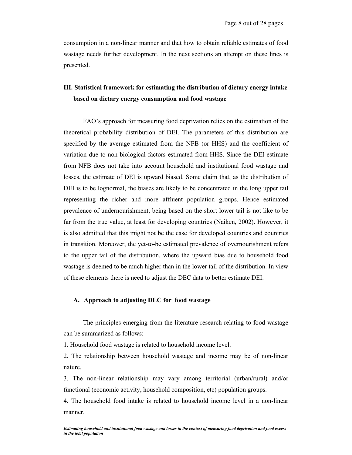consumption in a non-linear manner and that how to obtain reliable estimates of food wastage needs further development. In the next sections an attempt on these lines is presented.

# **III. Statistical framework for estimating the distribution of dietary energy intake based on dietary energy consumption and food wastage**

FAO's approach for measuring food deprivation relies on the estimation of the theoretical probability distribution of DEI. The parameters of this distribution are specified by the average estimated from the NFB (or HHS) and the coefficient of variation due to non-biological factors estimated from HHS. Since the DEI estimate from NFB does not take into account household and institutional food wastage and losses, the estimate of DEI is upward biased. Some claim that, as the distribution of DEI is to be lognormal, the biases are likely to be concentrated in the long upper tail representing the richer and more affluent population groups. Hence estimated prevalence of undernourishment, being based on the short lower tail is not like to be far from the true value, at least for developing countries (Naiken, 2002). However, it is also admitted that this might not be the case for developed countries and countries in transition. Moreover, the yet-to-be estimated prevalence of overnourishment refers to the upper tail of the distribution, where the upward bias due to household food wastage is deemed to be much higher than in the lower tail of the distribution. In view of these elements there is need to adjust the DEC data to better estimate DEI.

#### **A. Approach to adjusting DEC for food wastage**

 The principles emerging from the literature research relating to food wastage can be summarized as follows:

1. Household food wastage is related to household income level.

2. The relationship between household wastage and income may be of non-linear nature.

3. The non-linear relationship may vary among territorial (urban/rural) and/or functional (economic activity, household composition, etc) population groups.

4. The household food intake is related to household income level in a non-linear manner.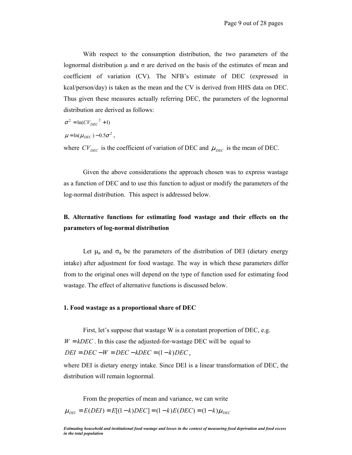With respect to the consumption distribution, the two parameters of the lognormal distribution  $\mu$  and  $\sigma$  are derived on the basis of the estimates of mean and coefficient of variation (CV). The NFB's estimate of DEC (expressed in kcal/person/day) is taken as the mean and the CV is derived from HHS data on DEC. Thus given these measures actually referring DEC, the parameters of the lognormal distribution are derived as follows:

$$
\sigma^2 = \ln(C V_{DEC}^2 + 1)
$$

$$
\mu = \ln(\mu_{DEC}) - 0.5\sigma^2,
$$

where  $CV_{DEC}$  is the coefficient of variation of DEC and  $\mu_{DEC}$  is the mean of DEC.

 Given the above considerations the approach chosen was to express wastage as a function of DEC and to use this function to adjust or modify the parameters of the log-normal distribution. This aspect is addressed below.

## **B. Alternative functions for estimating food wastage and their effects on the parameters of log-normal distribution**

Let  $\mu_a$  and  $\sigma_a$  be the parameters of the distribution of DEI (dietary energy intake) after adjustment for food wastage. The way in which these parameters differ from to the original ones will depend on the type of function used for estimating food wastage. The effect of alternative functions is discussed below.

#### **1. Food wastage as a proportional share of DEC**

First, let's suppose that wastage W is a constant proportion of DEC, e.g.  $W = kDEC$ . In this case the adjusted-for-wastage DEC will be equal to  $DEI = DEC - W = DEC - kDEC = (1 - k)DEC$ 

where DEI is dietary energy intake. Since DEI is a linear transformation of DEC, the distribution will remain lognormal.

From the properties of mean and variance, we can write  $\mu_{DEI} = E(DEI) = E[(1-k)DEC] = (1-k)E(DEC) = (1-k)\mu_{DEC}$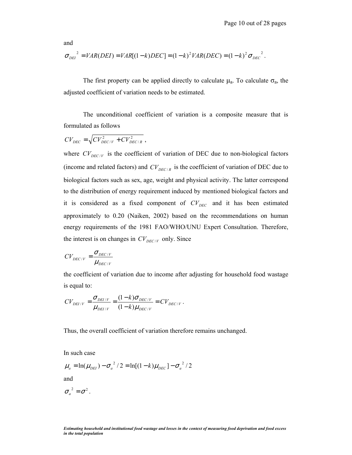and

$$
\sigma_{DEI}^2 = VAR(DEI) = VAR[(1-k)DEC] = (1-k)^2 VAR(DEC) = (1-k)^2 \sigma_{DEC}^2
$$
.

The first property can be applied directly to calculate  $\mu_a$ . To calculate  $\sigma_a$ , the adjusted coefficient of variation needs to be estimated.

The unconditional coefficient of variation is a composite measure that is formulated as follows

$$
CV_{DEC} = \sqrt{CV_{DEC/\gamma}^2 + CV_{DEC/R}^2}
$$

where  $CV_{DEC/V}$  is the coefficient of variation of DEC due to non-biological factors (income and related factors) and  $CV_{DEC/R}$  is the coefficient of variation of DEC due to biological factors such as sex, age, weight and physical activity. The latter correspond to the distribution of energy requirement induced by mentioned biological factors and it is considered as a fixed component of  $CV_{DEC}$  and it has been estimated approximately to 0.20 (Naiken, 2002) based on the recommendations on human energy requirements of the 1981 FAO/WHO/UNU Expert Consultation. Therefore, the interest is on changes in  $CV_{DEC/V}$  only. Since

$$
CV_{DEC/V} = \frac{\sigma_{DEC/V}}{\mu_{DEC/V}}
$$

the coefficient of variation due to income after adjusting for household food wastage is equal to:

$$
CV_{DEI/V} = \frac{\sigma_{DEI/V}}{\mu_{DEI/V}} = \frac{(1-k)\sigma_{DEC/V}}{(1-k)\mu_{DEC/V}} = CV_{DEC/V}.
$$

Thus, the overall coefficient of variation therefore remains unchanged.

In such case

$$
\mu_a = \ln(\mu_{DEI}) - \sigma_a^2 / 2 = \ln[(1-k)\mu_{DEC}] - \sigma_a^2 / 2
$$

and

 $\sigma_a^2 = \sigma^2$ .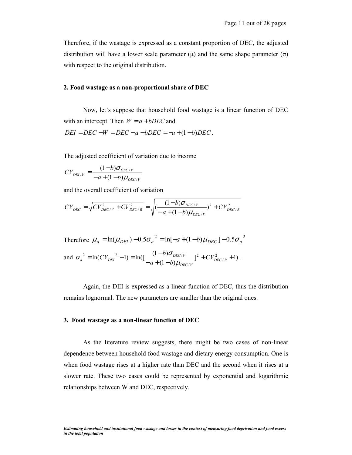Therefore, if the wastage is expressed as a constant proportion of DEC, the adjusted distribution will have a lower scale parameter  $(\mu)$  and the same shape parameter  $(\sigma)$ with respect to the original distribution.

#### **2. Food wastage as a non-proportional share of DEC**

Now, let's suppose that household food wastage is a linear function of DEC with an intercept. Then  $W = a + bDEC$  and  $DEI = DEC - W = DEC - a - bDEC = -a + (1 - b)DEC$ .

The adjusted coefficient of variation due to income

$$
CV_{DEI/V} = \frac{(1-b)\sigma_{DEC/V}}{-a + (1-b)\mu_{DEC/V}}
$$

and the overall coefficient of variation

$$
CV_{DEC} = \sqrt{CV_{DEC/V}^2 + CV_{DEC/R}^2} = \sqrt{\frac{(1-b)\sigma_{DEC/V}^2}{-a+(1-b)\mu_{DEC/V}}}}^2 + CV_{DEC/R}^2
$$

Therefore  $\mu_a = \ln(\mu_{DEI}) - 0.5\sigma_a^2 = \ln[-a + (1-b)\mu_{DEC}] - 0.5\sigma_a^2$ and  $\sigma_a^2 = \ln(C V_{DEI}^2 + 1) = \ln(\left[\frac{(1-b)\sigma_{DEC/V}}{-a+(1-b)\mu_{DEC/V}}\right]^2 + CV_{DEC/R}^2 + 1)$  $\int_{0}^{2}$  = ln( $CV_{DEI}^{2}$  + 1) = ln( $\left[\frac{(1-b)\sigma_{DECIV}}{-a+(1-b)\mu_{DECIV}}\right]^{2}$  +  $CV_{DECIR}^{2}$  + *DEC V*  $\int_{a}^{2} = \ln(CV_{DEI}^{2} + 1) = \ln(\left[\frac{(1 - \nu)O_{DEC/V}}{-a + (1 - b) \mu_{DEC/V}}\right]^{2} + CV$  $CV_{DEI}^2$  + 1) =  $ln(\frac{1-b}{a})$  $\mu$  $\sigma_a^2 = \ln(CV_{DEI}^2 + 1) = \ln(\left[\frac{(1-b)\sigma_{DEC/V}}{(1-b)\sigma_{DEC/V}}\right]^2 + CV_{DEC/R}^2 + 1).$ 

Again, the DEI is expressed as a linear function of DEC, thus the distribution remains lognormal. The new parameters are smaller than the original ones.

#### **3. Food wastage as a non-linear function of DEC**

As the literature review suggests, there might be two cases of non-linear dependence between household food wastage and dietary energy consumption. One is when food wastage rises at a higher rate than DEC and the second when it rises at a slower rate. These two cases could be represented by exponential and logarithmic relationships between W and DEC, respectively.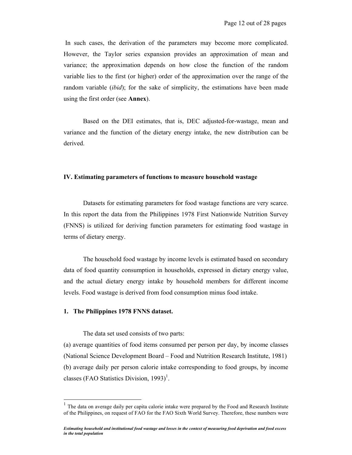In such cases, the derivation of the parameters may become more complicated. However, the Taylor series expansion provides an approximation of mean and variance; the approximation depends on how close the function of the random variable lies to the first (or higher) order of the approximation over the range of the random variable (*ibid*); for the sake of simplicity, the estimations have been made using the first order (see **Annex**).

Based on the DEI estimates, that is, DEC adjusted-for-wastage, mean and variance and the function of the dietary energy intake, the new distribution can be derived.

#### **IV. Estimating parameters of functions to measure household wastage**

Datasets for estimating parameters for food wastage functions are very scarce. In this report the data from the Philippines 1978 First Nationwide Nutrition Survey (FNNS) is utilized for deriving function parameters for estimating food wastage in terms of dietary energy.

The household food wastage by income levels is estimated based on secondary data of food quantity consumption in households, expressed in dietary energy value, and the actual dietary energy intake by household members for different income levels. Food wastage is derived from food consumption minus food intake.

#### **1. The Philippines 1978 FNNS dataset.**

 $\overline{a}$ 

The data set used consists of two parts:

(a) average quantities of food items consumed per person per day, by income classes (National Science Development Board – Food and Nutrition Research Institute, 1981) (b) average daily per person calorie intake corresponding to food groups, by income classes (FAO Statistics Division, 1993)<sup>1</sup>.

<sup>1</sup> The data on average daily per capita calorie intake were prepared by the Food and Research Institute of the Philippines, on request of FAO for the FAO Sixth World Survey. Therefore, these numbers were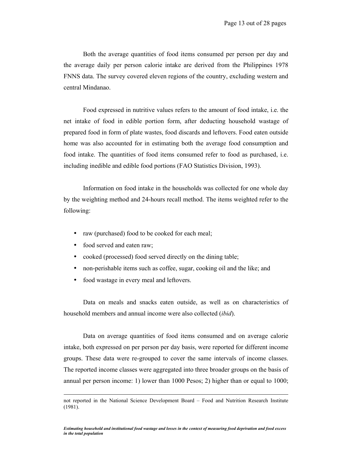Both the average quantities of food items consumed per person per day and the average daily per person calorie intake are derived from the Philippines 1978 FNNS data. The survey covered eleven regions of the country, excluding western and central Mindanao.

 Food expressed in nutritive values refers to the amount of food intake, i.e. the net intake of food in edible portion form, after deducting household wastage of prepared food in form of plate wastes, food discards and leftovers. Food eaten outside home was also accounted for in estimating both the average food consumption and food intake. The quantities of food items consumed refer to food as purchased, i.e. including inedible and edible food portions (FAO Statistics Division, 1993).

 Information on food intake in the households was collected for one whole day by the weighting method and 24-hours recall method. The items weighted refer to the following:

- raw (purchased) food to be cooked for each meal;
- food served and eaten raw;
- cooked (processed) food served directly on the dining table;
- non-perishable items such as coffee, sugar, cooking oil and the like; and
- food wastage in every meal and leftovers.

 Data on meals and snacks eaten outside, as well as on characteristics of household members and annual income were also collected (*ibid*).

 Data on average quantities of food items consumed and on average calorie intake, both expressed on per person per day basis, were reported for different income groups. These data were re-grouped to cover the same intervals of income classes. The reported income classes were aggregated into three broader groups on the basis of annual per person income: 1) lower than 1000 Pesos; 2) higher than or equal to 1000;

not reported in the National Science Development Board – Food and Nutrition Research Institute (1981).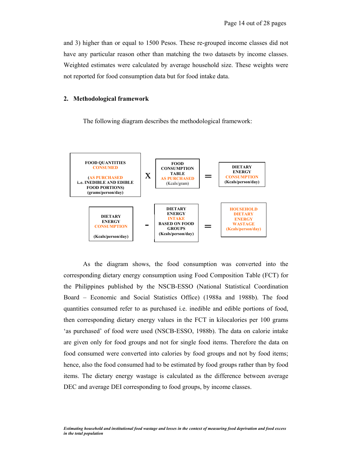and 3) higher than or equal to 1500 Pesos. These re-grouped income classes did not have any particular reason other than matching the two datasets by income classes. Weighted estimates were calculated by average household size. These weights were not reported for food consumption data but for food intake data.

#### **2. Methodological framework**

The following diagram describes the methodological framework:



 As the diagram shows, the food consumption was converted into the corresponding dietary energy consumption using Food Composition Table (FCT) for the Philippines published by the NSCB-ESSO (National Statistical Coordination Board – Economic and Social Statistics Office) (1988a and 1988b). The food quantities consumed refer to as purchased i.e. inedible and edible portions of food, then corresponding dietary energy values in the FCT in kilocalories per 100 grams 'as purchased' of food were used (NSCB-ESSO, 1988b). The data on calorie intake are given only for food groups and not for single food items. Therefore the data on food consumed were converted into calories by food groups and not by food items; hence, also the food consumed had to be estimated by food groups rather than by food items. The dietary energy wastage is calculated as the difference between average DEC and average DEI corresponding to food groups, by income classes.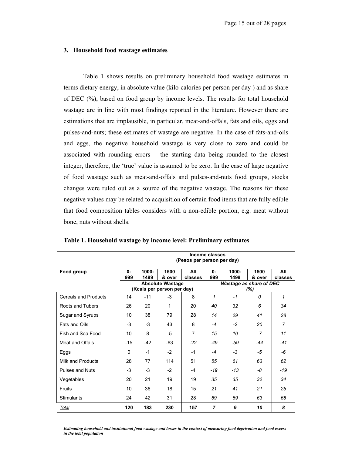#### **3. Household food wastage estimates**

 Table 1 shows results on preliminary household food wastage estimates in terms dietary energy, in absolute value (kilo-calories per person per day ) and as share of DEC (%), based on food group by income levels. The results for total household wastage are in line with most findings reported in the literature. However there are estimations that are implausible, in particular, meat-and-offals, fats and oils, eggs and pulses-and-nuts; these estimates of wastage are negative. In the case of fats-and-oils and eggs, the negative household wastage is very close to zero and could be associated with rounding errors – the starting data being rounded to the closest integer, therefore, the 'true' value is assumed to be zero. In the case of large negative of food wastage such as meat-and-offals and pulses-and-nuts food groups, stocks changes were ruled out as a source of the negative wastage. The reasons for these negative values may be related to acquisition of certain food items that are fully edible that food composition tables considers with a non-edible portion, e.g. meat without bone, nuts without shells.

|                             | Income classes<br>(Pesos per person per day) |                  |                                                       |                |                                       |               |                |                |
|-----------------------------|----------------------------------------------|------------------|-------------------------------------------------------|----------------|---------------------------------------|---------------|----------------|----------------|
| Food group                  | 0-<br>999                                    | $1000 -$<br>1499 | 1500<br>& over                                        | All<br>classes | $0 -$<br>999                          | 1000-<br>1499 | 1500<br>& over | All<br>classes |
|                             |                                              |                  | <b>Absolute Wastage</b><br>(Kcals per person per day) |                | <b>Wastage as share of DEC</b><br>(%) |               |                |                |
| <b>Cereals and Products</b> | 14                                           | $-11$            | $-3$                                                  | 8              | 1                                     | $-1$          | $\Omega$       | 1              |
| Roots and Tubers            | 26                                           | 20               | 1                                                     | 20             | 40                                    | 32            | 6              | 34             |
| Sugar and Syrups            | 10                                           | 38               | 79                                                    | 28             | 14                                    | 29            | 41             | 28             |
| Fats and Oils               | -3                                           | -3               | 43                                                    | 8              | $-4$                                  | $-2$          | 20             | $\overline{7}$ |
| Fish and Sea Food           | 10                                           | 8                | -5                                                    | 7              | 15                                    | 10            | $-7$           | 11             |
| Meat and Offals             | $-15$                                        | $-42$            | $-63$                                                 | $-22$          | $-49$                                 | -59           | -44            | $-41$          |
| Eggs                        | $\Omega$                                     | $-1$             | $-2$                                                  | $-1$           | $-4$                                  | $-3$          | -5             | -6             |
| Milk and Products           | 28                                           | 77               | 114                                                   | 51             | 55                                    | 61            | 63             | 62             |
| <b>Pulses and Nuts</b>      | $-3$                                         | $-3$             | $-2$                                                  | $-4$           | $-19$                                 | $-13$         | -8             | $-19$          |
| Vegetables                  | 20                                           | 21               | 19                                                    | 19             | 35                                    | 35            | 32             | 34             |
| Fruits                      | 10                                           | 36               | 18                                                    | 15             | 21                                    | 41            | 21             | 25             |
| <b>Stimulants</b>           | 24                                           | 42               | 31                                                    | 28             | 69                                    | 69            | 63             | 68             |
| Total                       | 120                                          | 183              | 230                                                   | 157            | 7                                     | 9             | 10             | 8              |

**Table 1. Household wastage by income level: Preliminary estimates** 

*Estimating household and institutional food wastage and losses in the context of measuring food deprivation and food excess in the total population*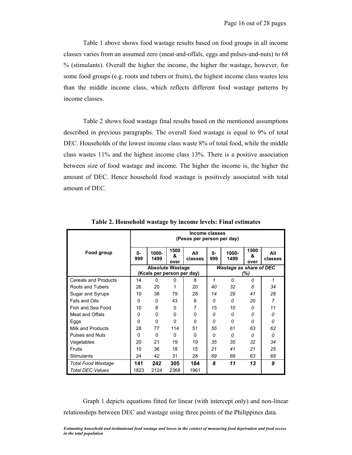Table 1 above shows food wastage results based on food groups in all income classes varies from an assumed zero (meat-and-offals, eggs and pulses-and-nuts) to 68 % (stimulants). Overall the higher the income, the higher the wastage, however, for some food groups (e.g. roots and tubers or fruits), the highest income class wastes less than the middle income class, which reflects different food wastage patterns by income classes.

 Table 2 shows food wastage final results based on the mentioned assumptions described in previous paragraphs. The overall food wastage is equal to 9% of total DEC. Households of the lowest income class waste 8% of total food, while the middle class wastes 11% and the highest income class 13%. There is a positive association between size of food wastage and income. The higher the income is, the higher the amount of DEC. Hence household food wastage is positively associated with total amount of DEC.

|                             | Income classes<br>(Pesos per person per day) |                            |                   |                |                                |                  |                   |                |  |
|-----------------------------|----------------------------------------------|----------------------------|-------------------|----------------|--------------------------------|------------------|-------------------|----------------|--|
| Food group                  | 0-<br>999                                    | 1000-<br>1499              | 1500<br>&<br>over | All<br>classes | 0-<br>999                      | $1000 -$<br>1499 | 1500<br>&<br>over | All<br>classes |  |
|                             | <b>Absolute Wastage</b>                      |                            |                   |                | <b>Wastage as share of DEC</b> |                  |                   |                |  |
|                             |                                              | (Kcals per person per day) |                   |                | (%)                            |                  |                   |                |  |
| <b>Cereals and Products</b> | 14                                           | 0                          | 0                 | 8              | 1                              | $\Omega$         | 0                 | 1              |  |
| Roots and Tubers            | 26                                           | 20                         | 1                 | 20             | 40                             | 32               | 6                 | 34             |  |
| Sugar and Syrups            | 10                                           | 38                         | 79                | 28             | 14                             | 29               | 41                | 28             |  |
| Fats and Oils               | 0                                            | 0                          | 43                | 8              | 0                              | 0                | 20                | 7              |  |
| Fish and Sea Food           | 10                                           | 8                          | $\Omega$          | 7              | 15                             | 10               | O                 | 11             |  |
| Meat and Offals             | 0                                            | $\mathbf{0}$               | $\Omega$          | $\Omega$       | $\Omega$                       | $\Omega$         | Ω                 | 0              |  |
| Eggs                        | 0                                            | 0                          | $\Omega$          | $\Omega$       | 0                              | 0                | 0                 | 0              |  |
| Milk and Products           | 28                                           | 77                         | 114               | 51             | 55                             | 61               | 63                | 62             |  |
| <b>Pulses and Nuts</b>      | $\Omega$                                     | 0                          | <sup>0</sup>      | <sup>0</sup>   | 0                              | $\Omega$         | $\Omega$          | $\Omega$       |  |
| Vegetables                  | 20                                           | 21                         | 19                | 19             | 35                             | 35               | 32                | 34             |  |
| <b>Fruits</b>               | 10                                           | 36                         | 18                | 15             | 21                             | 41               | 21                | 25             |  |
| <b>Stimulants</b>           | 24                                           | 42                         | 31                | 28             | 69                             | 69               | 63                | 68             |  |
| <b>Total Food Wastage</b>   | 141                                          | 242                        | 305               | 184            | 8                              | 11               | 13                | 9              |  |
| <b>Total DEC Values</b>     | 1823                                         | 2124                       | 2368              | 1961           |                                |                  |                   |                |  |

**Table 2. Household wastage by income levels: Final estimates** 

 Graph 1 depicts equations fitted for linear (with intercept only) and non-linear relationships between DEC and wastage using three points of the Philippines data.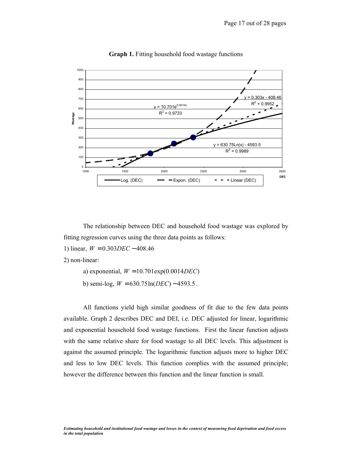



 The relationship between DEC and household food wastage was explored by fitting regression curves using the three data points as follows:

1) linear, *W* = 0.303*DEC* − 408.46

2) non-linear:

- a) exponential, *W* = 10.701exp(0.0014*DEC*)
- b) semi-log,  $W = 630.75 \ln(DEC) 4593.5$ .

 All functions yield high similar goodness of fit due to the few data points available. Graph 2 describes DEC and DEI, i.e. DEC adjusted for linear, logarithmic and exponential household food wastage functions. First the linear function adjusts with the same relative share for food wastage to all DEC levels. This adjustment is against the assumed principle. The logarithmic function adjusts more to higher DEC and less to low DEC levels. This function complies with the assumed principle; however the difference between this function and the linear function is small.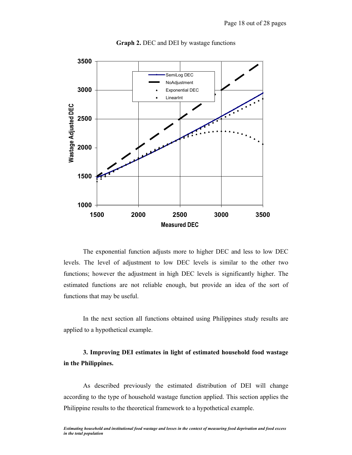

**Graph 2.** DEC and DEI by wastage functions

 The exponential function adjusts more to higher DEC and less to low DEC levels. The level of adjustment to low DEC levels is similar to the other two functions; however the adjustment in high DEC levels is significantly higher. The estimated functions are not reliable enough, but provide an idea of the sort of functions that may be useful.

 In the next section all functions obtained using Philippines study results are applied to a hypothetical example.

# **3. Improving DEI estimates in light of estimated household food wastage in the Philippines.**

 As described previously the estimated distribution of DEI will change according to the type of household wastage function applied. This section applies the Philippine results to the theoretical framework to a hypothetical example.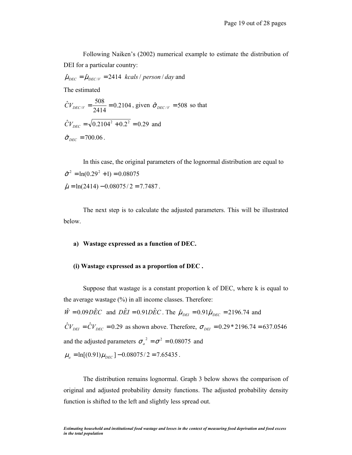Following Naiken's (2002) numerical example to estimate the distribution of DEI for a particular country:

 $\hat{\mu}_{DEC} = \hat{\mu}_{DEC/V} = 2414$  *kcals* / *person* / *day* and

The estimated

$$
\hat{C}V_{DEC/V} = \frac{508}{2414} = 0.2104
$$
, given  $\hat{\sigma}_{DEC/V} = 508$  so that  

$$
\hat{C}V_{DEC} = \sqrt{0.2104^2 + 0.2^2} = 0.29
$$
 and  

$$
\hat{\sigma}_{DEC} = 700.06
$$
.

 In this case, the original parameters of the lognormal distribution are equal to  $\hat{\sigma}^2 = \ln(0.29^2 + 1) = 0.08075$  $\hat{\mu} = \ln(2414) - 0.08075/2 = 7.7487$ .

 The next step is to calculate the adjusted parameters. This will be illustrated below.

#### **a) Wastage expressed as a function of DEC.**

#### **(i) Wastage expressed as a proportion of DEC .**

Suppose that wastage is a constant proportion k of DEC, where k is equal to the average wastage (%) in all income classes. Therefore:

 $\hat{W} = 0.09D\hat{E}C$  and  $D\hat{E}I = 0.91D\hat{E}C$ . The  $\hat{\mu}_{DEI} = 0.91\hat{\mu}_{DEC} = 2196.74$  and  $\hat{C}V_{DEI} = \hat{C}V_{DEC} = 0.29$  as shown above. Therefore,  $\sigma_{DEI} = 0.29 * 2196.74 = 637.0546$ and the adjusted parameters  $\sigma_a^2 = \sigma^2 = 0.08075$  and  $\mu_a = \ln[(0.91)\mu_{DEC}] - 0.08075/2 = 7.65435$ .

 The distribution remains lognormal. Graph 3 below shows the comparison of original and adjusted probability density functions. The adjusted probability density function is shifted to the left and slightly less spread out.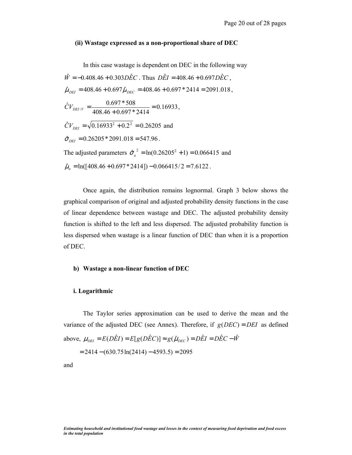#### **(ii) Wastage expressed as a non-proportional share of DEC**

In this case wastage is dependent on DEC in the following way

 $\hat{W} = -0.408.46 + 0.303D\hat{E}C$ . Thus  $D\hat{E}I = 408.46 + 0.697D\hat{E}C$ .  $\hat{\mu}_{DEI} = 408.46 + 0.697 \hat{\mu}_{DEC} = 408.46 + 0.697 * 2414 = 2091.018$ , 0.16933  $\hat{C}V_{DEI/V} = \frac{0.697 * 508}{408.46 + 0.697 * 2414} = 0.16933,$  $\hat{C}V_{DEI} = \sqrt{0.16933^2 + 0.2^2} = 0.26205$  and  $\hat{\sigma}_{\textit{\tiny{DFI}}} = 0.26205 * 2091.018 = 547.96$ . The adjusted parameters  $\hat{\sigma}_a^2 = \ln(0.26205^2 + 1) = 0.066415$  and  $\hat{\mu}_a = \ln([408.46 + 0.697 * 2414]) - 0.066415/2 = 7.6122$ .

 Once again, the distribution remains lognormal. Graph 3 below shows the graphical comparison of original and adjusted probability density functions in the case of linear dependence between wastage and DEC. The adjusted probability density function is shifted to the left and less dispersed. The adjusted probability function is less dispersed when wastage is a linear function of DEC than when it is a proportion of DEC.

#### **b) Wastage a non-linear function of DEC**

#### **i. Logarithmic**

 The Taylor series approximation can be used to derive the mean and the variance of the adjusted DEC (see Annex). Therefore, if  $g(DEC) = DEI$  as defined above,  $\mu_{DEI} = E(D\hat{E}I) = E[g(D\hat{E}C)] \approx g(\hat{\mu}_{DEC}) = D\hat{E}I = D\hat{E}C - \hat{W}$ 

 $= 2414 - (630.75\ln(2414) - 4593.5) = 2095$ 

and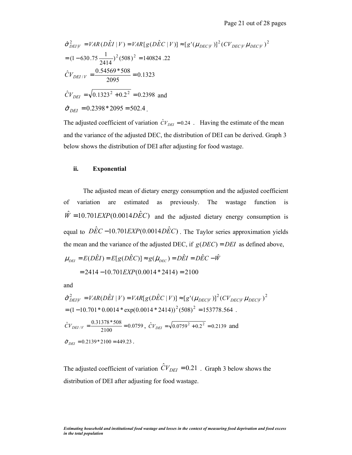$$
\hat{\sigma}_{DEI|V}^{2} = VAR(D\hat{E}I|V) = VAR[g(D\hat{E}C|V)] \approx [g'(\mu_{DEC|V})]^{2} (CV_{DEC|V} \mu_{DEC|V})^{2}
$$
  
= (1-630.75  $\frac{1}{2414}$ )^{2} (508)^{2} = 140824.22  
 $\hat{C}V_{DEI/V} = \frac{0.54569 * 508}{2095} = 0.1323$   
 $\hat{C}V_{DEI} = \sqrt{0.1323^{2} + 0.2^{2}} = 0.2398$  and  
 $\hat{\sigma}_{DEI} = 0.2398 * 2095 = 502.4$ .

The adjusted coefficient of variation  $\hat{C}V_{DEI} = 0.24$ . Having the estimate of the mean and the variance of the adjusted DEC, the distribution of DEI can be derived. Graph 3 below shows the distribution of DEI after adjusting for food wastage.

#### **ii. Exponential**

 The adjusted mean of dietary energy consumption and the adjusted coefficient of variation are estimated as previously. The wastage function is  $\hat{W} = 10.701$  *EXP*(0.0014*D* $\hat{E}C$ ) and the adjusted dietary energy consumption is equal to  $\hat{DEC} - 10.701 \text{EXP}(0.0014 \text{DEC})$ . The Taylor series approximation yields the mean and the variance of the adjusted DEC, if  $g(DEC) = DEI$  as defined above,

$$
\mu_{DEI} = E(D\hat{E}I) = E[g(D\hat{E}C)] \approx g(\hat{\mu}_{DEC}) = D\hat{E}I = D\hat{E}C - \hat{W}
$$

$$
= 2414 - 10.701 EXP(0.0014 * 2414) = 2100
$$

and

$$
\hat{\sigma}_{DEIV}^2 = VAR(D\hat{E}I | V) = VAR[g(D\hat{E}C | V)] \approx [g'(\mu_{DEC|V})]^2 (CV_{DEC|V} \mu_{DEC|V})^2
$$
  
= (1-10.701\*0.0014\*exp(0.0014\*2414))^2 (508)^2 = 153778.564.  
 $\hat{C}V_{DEI/V} = \frac{0.31378*508}{2100} = 0.0759$ ,  $\hat{C}V_{DEI} = \sqrt{0.0759^2 + 0.2^2} = 0.2139$  and  
 $\hat{\sigma}_{DEI} = 0.2139*2100 = 449.23$ .

The adjusted coefficient of variation  $\hat{C}V_{DEI} = 0.21$ . Graph 3 below shows the distribution of DEI after adjusting for food wastage.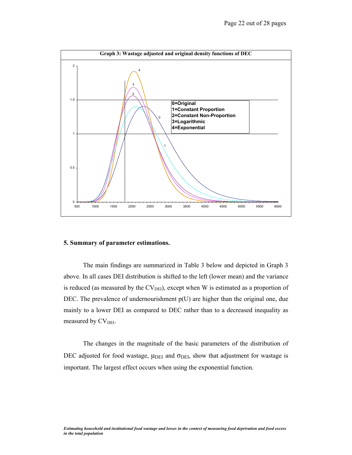

#### **5. Summary of parameter estimations.**

 The main findings are summarized in Table 3 below and depicted in Graph 3 above. In all cases DEI distribution is shifted to the left (lower mean) and the variance is reduced (as measured by the  $CV<sub>DEI</sub>$ ), except when W is estimated as a proportion of DEC. The prevalence of undernourishment  $p(U)$  are higher than the original one, due mainly to a lower DEI as compared to DEC rather than to a decreased inequality as measured by  $CV<sub>DEI</sub>$ .

 The changes in the magnitude of the basic parameters of the distribution of DEC adjusted for food wastage,  $\mu_{\text{DEI}}$  and  $\sigma_{\text{DEI}}$ , show that adjustment for wastage is important. The largest effect occurs when using the exponential function.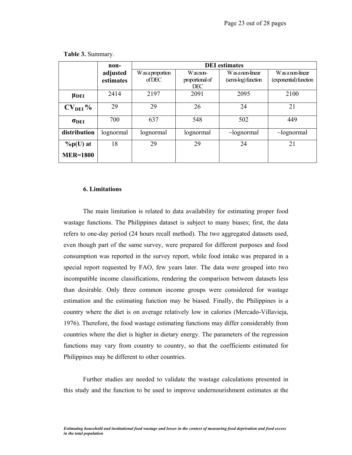|                      | non-      | <b>DEI</b> estimates |                 |                     |                        |  |  |  |  |
|----------------------|-----------|----------------------|-----------------|---------------------|------------------------|--|--|--|--|
|                      | adjusted  | Was a proportion     | W as non-       | Was a non-linear    | Was a non-linear       |  |  |  |  |
|                      | estimates | of DEC               | proportional of | (semi-log) function | (exponential) function |  |  |  |  |
|                      |           |                      | <b>DEC</b>      |                     |                        |  |  |  |  |
| $\mu$ <sub>DEI</sub> | 2414      | 2197                 | 2091            | 2095                | 2100                   |  |  |  |  |
| $CVDEI$ %            | 29        | 29                   | 26              | 24                  | 21                     |  |  |  |  |
| $\sigma_{\rm DEI}$   | 700       | 637                  | 548             | 502                 | 449                    |  |  |  |  |
| distribution         | lognormal | lognormal            | lognormal       | $\sim$ lognormal    | $\sim$ lognormal       |  |  |  |  |
| $\%p(U)$ at          | 18        | 29                   | 29              | 24                  | 21                     |  |  |  |  |
| <b>MER=1800</b>      |           |                      |                 |                     |                        |  |  |  |  |

**Table 3.** Summary.

#### **6. Limitations**

 The main limitation is related to data availability for estimating proper food wastage functions. The Philippines dataset is subject to many biases; first, the data refers to one-day period (24 hours recall method). The two aggregated datasets used, even though part of the same survey, were prepared for different purposes and food consumption was reported in the survey report, while food intake was prepared in a special report requested by FAO, few years later. The data were grouped into two incompatible income classifications, rendering the comparison between datasets less than desirable. Only three common income groups were considered for wastage estimation and the estimating function may be biased. Finally, the Philippines is a country where the diet is on average relatively low in calories (Mercado-Villavieja, 1976). Therefore, the food wastage estimating functions may differ considerably from countries where the diet is higher in dietary energy. The parameters of the regression functions may vary from country to country, so that the coefficients estimated for Philippines may be different to other countries.

 Further studies are needed to validate the wastage calculations presented in this study and the function to be used to improve undernourishment estimates at the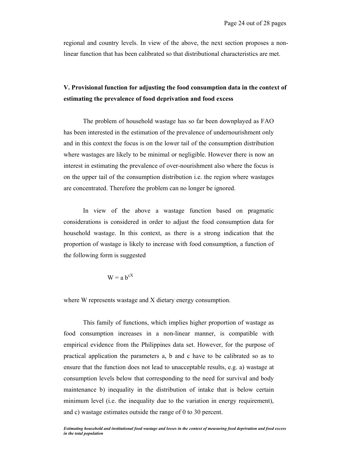regional and country levels. In view of the above, the next section proposes a nonlinear function that has been calibrated so that distributional characteristics are met.

# **V. Provisional function for adjusting the food consumption data in the context of estimating the prevalence of food deprivation and food excess**

 The problem of household wastage has so far been downplayed as FAO has been interested in the estimation of the prevalence of undernourishment only and in this context the focus is on the lower tail of the consumption distribution where wastages are likely to be minimal or negligible. However there is now an interest in estimating the prevalence of over-nourishment also where the focus is on the upper tail of the consumption distribution i.e. the region where wastages are concentrated. Therefore the problem can no longer be ignored.

 In view of the above a wastage function based on pragmatic considerations is considered in order to adjust the food consumption data for household wastage. In this context, as there is a strong indication that the proportion of wastage is likely to increase with food consumption, a function of the following form is suggested

$$
W = a b^{cX}
$$

where W represents wastage and X dietary energy consumption.

 This family of functions, which implies higher proportion of wastage as food consumption increases in a non-linear manner, is compatible with empirical evidence from the Philippines data set. However, for the purpose of practical application the parameters a, b and c have to be calibrated so as to ensure that the function does not lead to unacceptable results, e.g. a) wastage at consumption levels below that corresponding to the need for survival and body maintenance b) inequality in the distribution of intake that is below certain minimum level (i.e. the inequality due to the variation in energy requirement), and c) wastage estimates outside the range of 0 to 30 percent.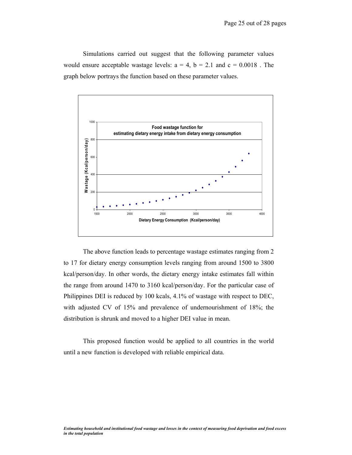Simulations carried out suggest that the following parameter values would ensure acceptable wastage levels:  $a = 4$ ,  $b = 2.1$  and  $c = 0.0018$ . The graph below portrays the function based on these parameter values.



 The above function leads to percentage wastage estimates ranging from 2 to 17 for dietary energy consumption levels ranging from around 1500 to 3800 kcal/person/day. In other words, the dietary energy intake estimates fall within the range from around 1470 to 3160 kcal/person/day. For the particular case of Philippines DEI is reduced by 100 kcals, 4.1% of wastage with respect to DEC, with adjusted CV of 15% and prevalence of undernourishment of 18%; the distribution is shrunk and moved to a higher DEI value in mean.

 This proposed function would be applied to all countries in the world until a new function is developed with reliable empirical data.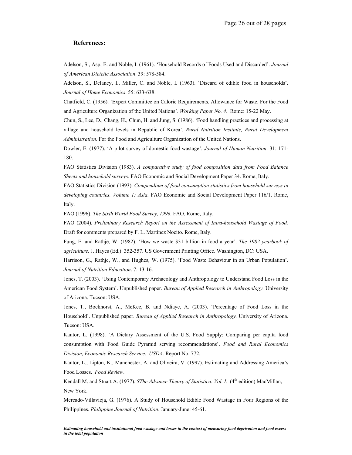#### **References:**

Adelson, S., Asp, E. and Noble, I. (1961). 'Household Records of Foods Used and Discarded'. *Journal of American Dietetic Association*. 39: 578-584.

Adelson, S., Delaney, I., Miller, C. and Noble, I. (1963). 'Discard of edible food in households'. *Journal of Home Economics*. 55: 633-638.

Chatfield, C. (1956). 'Expert Committee on Calorie Requirements. Allowance for Waste. For the Food and Agriculture Organization of the United Nations'. *Working Paper No. 4*. Rome: 15-22 May.

Chun, S., Lee, D., Chang, H., Chun, H. and Jung, S. (1986). 'Food handling practices and processing at village and household levels in Republic of Korea'. *Rural Nutrition Institute, Rural Development Administration.* For the Food and Agriculture Organization of the United Nations.

Dowler, E. (1977). 'A pilot survey of domestic food wastage'. *Journal of Human Nutrition*. 31: 171- 180.

FAO Statistics Division (1983). *A comparative study of food composition data from Food Balance Sheets and household surveys.* FAO Economic and Social Development Paper 34. Rome, Italy.

FAO Statistics Division (1993). *Compendium of food consumption statistics from household surveys in developing countries. Volume 1: Asia.* FAO Economic and Social Development Paper 116/1. Rome, Italy.

FAO (1996). *The Sixth World Food Survey, 1996.* FAO, Rome, Italy.

FAO (2004). *Preliminary Research Report on the Assessment of Intra-household Wastage of Food.* Draft for comments prepared by F. L. Martinez Nocito. Rome, Italy.

Fung, E. and Rathje, W. (1982). 'How we waste \$31 billion in food a year'. *The 1982 yearbook of agriculture.* J. Hayes (Ed.): 352-357. US Government Printing Office. Washington, DC: USA.

Harrison, G., Rathje, W., and Hughes, W. (1975). 'Food Waste Behaviour in an Urban Population'. *Journal of Nutrition Education*. 7: 13-16.

Jones, T. (2003). 'Using Contemporary Archaeology and Anthropology to Understand Food Loss in the American Food System'. Unpublished paper. *Bureau of Applied Research in Anthropology.* University of Arizona. Tucson: USA.

Jones, T., Bockhorst, A., McKee, B. and Ndiaye, A. (2003). 'Percentage of Food Loss in the Household'. Unpublished paper. *Bureau of Applied Research in Anthropology.* University of Arizona. Tucson: USA.

Kantor, L. (1998). 'A Dietary Assessment of the U.S. Food Supply: Comparing per capita food consumption with Food Guide Pyramid serving recommendations'. *Food and Rural Economics Division, Economic Research Service. USDA.* Report No. 772.

Kantor, L., Lipton, K., Manchester, A. and Oliveira, V. (1997). Estimating and Addressing America's Food Losses. *Food Review*.

Kendall M. and Stuart A. (1977). *SThe Advance Theory of Statistica. Vol. I.* (4<sup>th</sup> edition) MacMillan, New York.

Mercado-Villavieja, G. (1976). A Study of Household Edible Food Wastage in Four Regions of the Philippines. *Philippine Journal of Nutrition*. January-June: 45-61.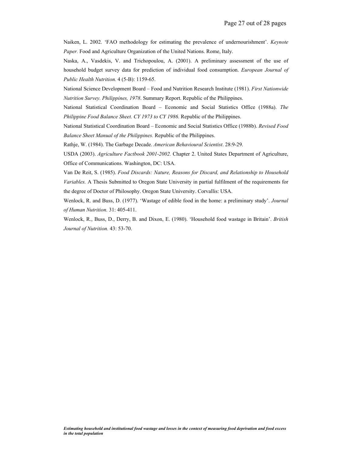Naiken, L. 2002. 'FAO methodology for estimating the prevalence of undernourishment'. *Keynote Paper.* Food and Agriculture Organization of the United Nations. Rome, Italy.

Naska, A., Vasdekis, V. and Trichopoulou, A. (2001). A preliminary assessment of the use of household budget survey data for prediction of individual food consumption. *European Journal of Public Health Nutrition.* 4 (5-B): 1159-65.

National Science Development Board – Food and Nutrition Research Institute (1981). *First Nationwide Nutrition Survey. Philippines, 1978*. Summary Report. Republic of the Philippines.

National Statistical Coordination Board – Economic and Social Statistics Office (1988a). *The Philippine Food Balance Sheet. CY 1973 to CY 1986.* Republic of the Philippines.

National Statistical Coordination Board – Economic and Social Statistics Office (1988b). *Revised Food Balance Sheet Manual of the Philippines.* Republic of the Philippines.

Rathje, W. (1984). The Garbage Decade. *American Behavioural Scientist*. 28:9-29.

USDA (2003). *Agriculture Factbook 2001-2002.* Chapter 2. United States Department of Agriculture, Office of Communications. Washington, DC: USA.

Van De Reit, S. (1985). *Food Discards: Nature, Reasons for Discard, and Relationship to Household Variables.* A Thesis Submitted to Oregon State University in partial fulfilment of the requirements for the degree of Doctor of Philosophy. Oregon State University. Corvallis: USA.

Wenlock, R. and Buss, D. (1977). 'Wastage of edible food in the home: a preliminary study'. *Journal of Human Nutrition.* 31: 405-411.

Wenlock, R., Buss, D., Derry, B. and Dixon, E. (1980). 'Household food wastage in Britain'. *British Journal of Nutrition.* 43: 53-70.